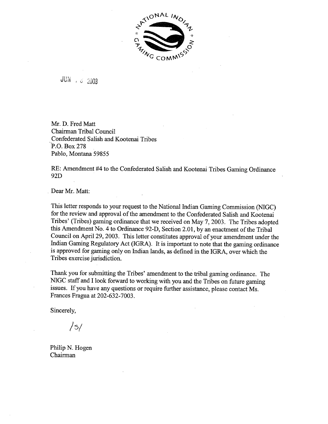

JUN  $\frac{3}{5}$   $\frac{2003}{2003}$ 

Mr. D. Fred Matt Chairman Tribal Council Confederated Salish and Kootenai Tribes P.O. **Bax** 278 Pablo, Montana 59855

RE: Amendment #4 to the Confederated Salish and Kootenai Tribes Gaming Ordinance 92D

Dear Mr. Matt:

This letter responds to your request to the National Indian Gaming Commission (NIGC) for the review and approval of the amendment to the Confederated Salish and Kootenai Tribes' (Tribes) gaming ordinance that we received on May 7,2003. The Tribes adopted this Amendment No. 4 to Ordinance 92-D, Section 2.01, by an enactment of the Tribal Council on April 29,2003. This letter constitutes approval of your amendment under the Indian Gaming Regulatory Act (IGRA). It is important to note that the gaming ordinance is approved for gaming only on Indian lands, as defined in the IGRA, over which the Tribes exercise jurisdiction.

Thank you for submitting the Tribes' amendment to the tribal gaming ordinance. The NIGC staff and I look forward to working with you and the Tribes on future gaming issues. If you have any questions or require further assistance, please contact Ms. Frances Fragua at 202-632-7003.

Sincerely,

*/s/* 

Philip N. Hogen Chairman